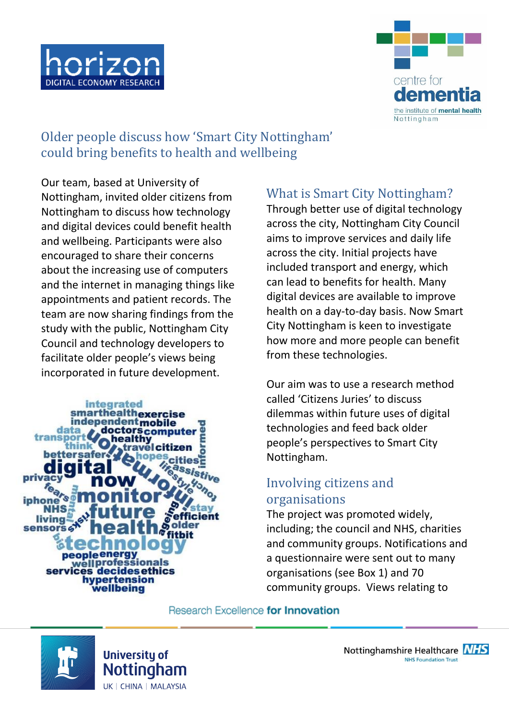



Older people discuss how 'Smart City Nottingham' could bring benefits to health and wellbeing

Our team, based at University of Nottingham, invited older citizens from Nottingham to discuss how technology and digital devices could benefit health and wellbeing. Participants were also encouraged to share their concerns about the increasing use of computers and the internet in managing things like appointments and patient records. The team are now sharing findings from the study with the public, Nottingham City Council and technology developers to facilitate older people's views being incorporated in future development.



# What is Smart City Nottingham?

Through better use of digital technology across the city, Nottingham City Council aims to improve services and daily life across the city. Initial projects have included transport and energy, which can lead to benefits for health. Many digital devices are available to improve health on a day-to-day basis. Now Smart City Nottingham is keen to investigate how more and more people can benefit from these technologies.

Our aim was to use a research method called 'Citizens Juries' to discuss dilemmas within future uses of digital technologies and feed back older people's perspectives to Smart City Nottingham.

## Involving citizens and organisations

The project was promoted widely, including; the council and NHS, charities and community groups. Notifications and a questionnaire were sent out to many organisations (see Box 1) and 70 community groups. Views relating to

#### Research Excellence for Innovation

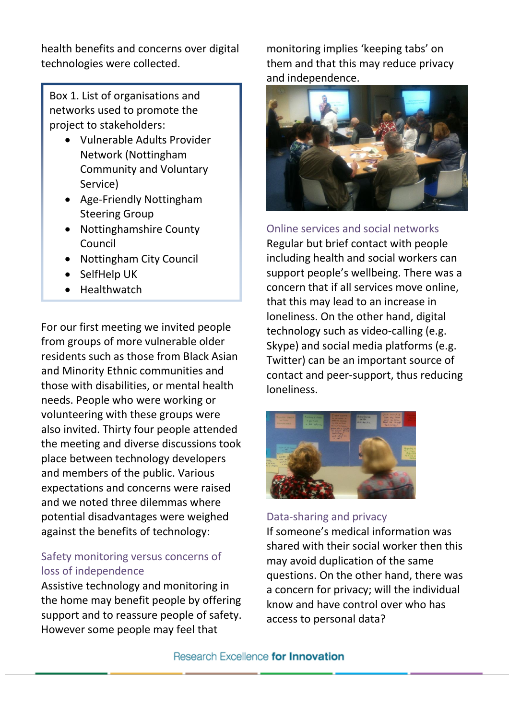health benefits and concerns over digital technologies were collected.

Box 1. List of organisations and networks used to promote the project to stakeholders:

- Vulnerable Adults Provider Network (Nottingham Community and Voluntary Service)
- Age-Friendly Nottingham Steering Group
- Nottinghamshire County Council
- Nottingham City Council
- SelfHelp UK
- Healthwatch

For our first meeting we invited people from groups of more vulnerable older residents such as those from Black Asian and Minority Ethnic communities and those with disabilities, or mental health needs. People who were working or volunteering with these groups were also invited. Thirty four people attended the meeting and diverse discussions took place between technology developers and members of the public. Various expectations and concerns were raised and we noted three dilemmas where potential disadvantages were weighed against the benefits of technology:

### Safety monitoring versus concerns of loss of independence

Assistive technology and monitoring in the home may benefit people by offering support and to reassure people of safety. However some people may feel that

monitoring implies 'keeping tabs' on them and that this may reduce privacy and independence.



Online services and social networks Regular but brief contact with people including health and social workers can support people's wellbeing. There was a concern that if all services move online, that this may lead to an increase in loneliness. On the other hand, digital technology such as video-calling (e.g. Skype) and social media platforms (e.g. Twitter) can be an important source of contact and peer-support, thus reducing loneliness.



### Data-sharing and privacy

If someone's medical information was shared with their social worker then this may avoid duplication of the same questions. On the other hand, there was a concern for privacy; will the individual know and have control over who has access to personal data?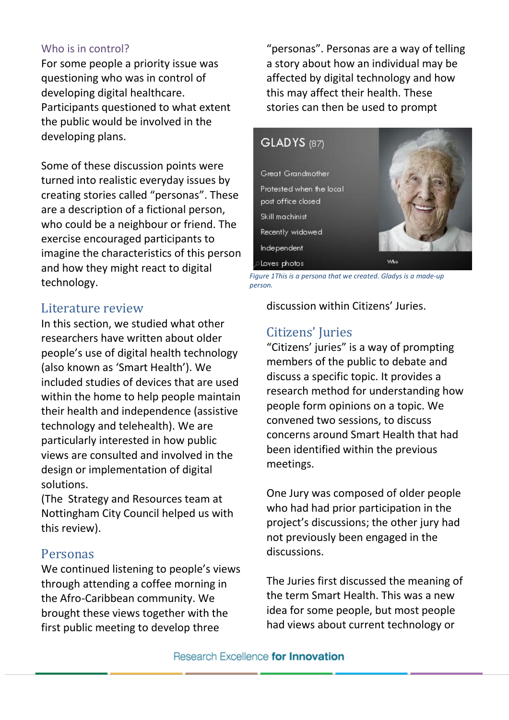#### Who is in control?

For some people a priority issue was questioning who was in control of developing digital healthcare. Participants questioned to what extent the public would be involved in the developing plans.

Some of these discussion points were turned into realistic everyday issues by creating stories called "personas". These are a description of a fictional person, who could be a neighbour or friend. The exercise encouraged participants to imagine the characteristics of this person and how they might react to digital technology.

## Literature review

In this section, we studied what other researchers have written about older people's use of digital health technology (also known as 'Smart Health'). We included studies of devices that are used within the home to help people maintain their health and independence (assistive technology and telehealth). We are particularly interested in how public views are consulted and involved in the design or implementation of digital solutions.

(The Strategy and Resources team at Nottingham City Council helped us with this review).

### Personas

We continued listening to people's views through attending a coffee morning in the Afro-Caribbean community. We brought these views together with the first public meeting to develop three

"personas". Personas are a way of telling a story about how an individual may be affected by digital technology and how this may affect their health. These stories can then be used to prompt



*Figure 1This is a persona that we created. Gladys is a made-up person.*

discussion within Citizens' Juries.

## Citizens' Juries

"Citizens' juries" is a way of prompting members of the public to debate and discuss a specific topic. It provides a research method for understanding how people form opinions on a topic. We convened two sessions, to discuss concerns around Smart Health that had been identified within the previous meetings.

One Jury was composed of older people who had had prior participation in the project's discussions; the other jury had not previously been engaged in the discussions.

The Juries first discussed the meaning of the term Smart Health. This was a new idea for some people, but most people had views about current technology or